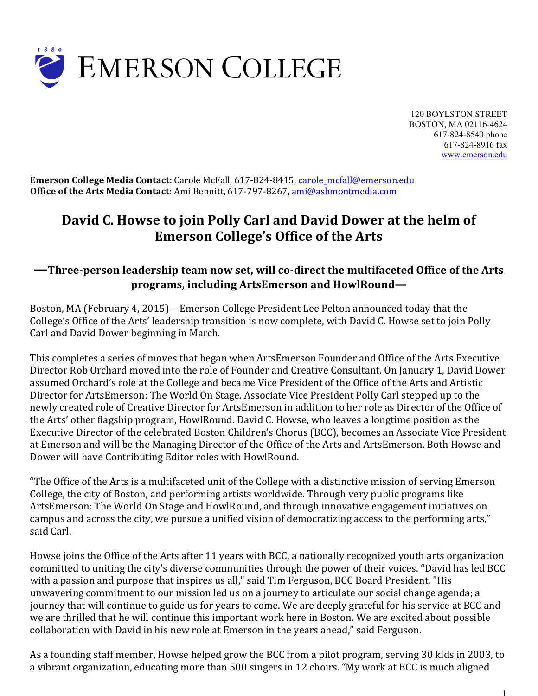

120 BOYLSTON STREET BOSTON, MA 02116-4624 617-824-8540 phone 617-824-8916 fax www.emerson.edu

**Emerson College Media Contact:** Carole McFall, 617-824-8415, carole\_mcfall@emerson.edu **Office of the Arts Media Contact:** Ami Bennitt, 617-797-8267**,** ami@ashmontmedia.com

# **David C. Howse to join Polly Carl and David Dower at the helm of Emerson College's Office of the Arts**

# **—Three-person leadership team now set, will co-direct the multifaceted Office of the Arts programs, including ArtsEmerson and HowlRound—**

Boston, MA (February 4, 2015)**—**Emerson College President Lee Pelton announced today that the College's Office of the Arts' leadership transition is now complete, with David C. Howse set to join Polly Carl and David Dower beginning in March.

This completes a series of moves that began when ArtsEmerson Founder and Office of the Arts Executive Director Rob Orchard moved into the role of Founder and Creative Consultant. On January 1, David Dower assumed Orchard's role at the College and became Vice President of the Office of the Arts and Artistic Director for ArtsEmerson: The World On Stage. Associate Vice President Polly Carl stepped up to the newly created role of Creative Director for ArtsEmerson in addition to her role as Director of the Office of the Arts' other flagship program, HowlRound. David C. Howse, who leaves a longtime position as the Executive Director of the celebrated Boston Children's Chorus (BCC), becomes an Associate Vice President at Emerson and will be the Managing Director of the Office of the Arts and ArtsEmerson. Both Howse and Dower will have Contributing Editor roles with HowlRound.

"The Office of the Arts is a multifaceted unit of the College with a distinctive mission of serving Emerson College, the city of Boston, and performing artists worldwide. Through very public programs like ArtsEmerson: The World On Stage and HowlRound, and through innovative engagement initiatives on campus and across the city, we pursue a unified vision of democratizing access to the performing arts," said Carl.

Howse joins the Office of the Arts after 11 years with BCC, a nationally recognized youth arts organization committed to uniting the city's diverse communities through the power of their voices. "David has led BCC with a passion and purpose that inspires us all," said Tim Ferguson, BCC Board President. "His unwavering commitment to our mission led us on a journey to articulate our social change agenda; a journey that will continue to guide us for years to come. We are deeply grateful for his service at BCC and we are thrilled that he will continue this important work here in Boston. We are excited about possible collaboration with David in his new role at Emerson in the years ahead," said Ferguson.

As a founding staff member, Howse helped grow the BCC from a pilot program, serving 30 kids in 2003, to a vibrant organization, educating more than 500 singers in 12 choirs. "My work at BCC is much aligned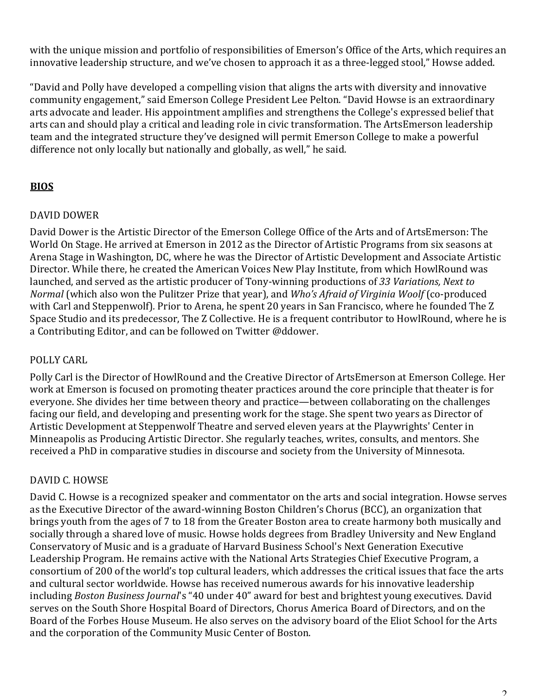with the unique mission and portfolio of responsibilities of Emerson's Office of the Arts, which requires an innovative leadership structure, and we've chosen to approach it as a three-legged stool," Howse added.

"David and Polly have developed a compelling vision that aligns the arts with diversity and innovative community engagement," said Emerson College President Lee Pelton. "David Howse is an extraordinary arts advocate and leader. His appointment amplifies and strengthens the College's expressed belief that arts can and should play a critical and leading role in civic transformation. The ArtsEmerson leadership team and the integrated structure they've designed will permit Emerson College to make a powerful difference not only locally but nationally and globally, as well," he said.

# **BIOS**

# DAVID DOWER

David Dower is the Artistic Director of the Emerson College Office of the Arts and of ArtsEmerson: The World On Stage. He arrived at Emerson in 2012 as the Director of Artistic Programs from six seasons at Arena Stage in Washington, DC, where he was the Director of Artistic Development and Associate Artistic Director. While there, he created the American Voices New Play Institute, from which HowlRound was launched, and served as the artistic producer of Tony-winning productions of *33 Variations, Next to Normal* (which also won the Pulitzer Prize that year), and *Who's Afraid of Virginia Woolf* (co-produced with Carl and Steppenwolf)*.* Prior to Arena, he spent 20 years in San Francisco, where he founded The Z Space Studio and its predecessor, The Z Collective. He is a frequent contributor to HowlRound, where he is a Contributing Editor, and can be followed on Twitter @ddower.

# POLLY CARL

Polly Carl is the Director of HowlRound and the Creative Director of ArtsEmerson at Emerson College. Her work at Emerson is focused on promoting theater practices around the core principle that theater is for everyone. She divides her time between theory and practice—between collaborating on the challenges facing our field, and developing and presenting work for the stage. She spent two years as Director of Artistic Development at Steppenwolf Theatre and served eleven years at the Playwrights' Center in Minneapolis as Producing Artistic Director. She regularly teaches, writes, consults, and mentors. She received a PhD in comparative studies in discourse and society from the University of Minnesota.

# DAVID C. HOWSE

David C. Howse is a recognized speaker and commentator on the arts and social integration. Howse serves as the Executive Director of the award-winning Boston Children's Chorus (BCC), an organization that brings youth from the ages of 7 to 18 from the Greater Boston area to create harmony both musically and socially through a shared love of music. Howse holds degrees from Bradley University and New England Conservatory of Music and is a graduate of Harvard Business School's Next Generation Executive Leadership Program. He remains active with the National Arts Strategies Chief Executive Program, a consortium of 200 of the world's top cultural leaders, which addresses the critical issues that face the arts and cultural sector worldwide. Howse has received numerous awards for his innovative leadership including *Boston Business Journal*'s "40 under 40" award for best and brightest young executives. David serves on the South Shore Hospital Board of Directors, Chorus America Board of Directors, and on the Board of the Forbes House Museum. He also serves on the advisory board of the Eliot School for the Arts and the corporation of the Community Music Center of Boston.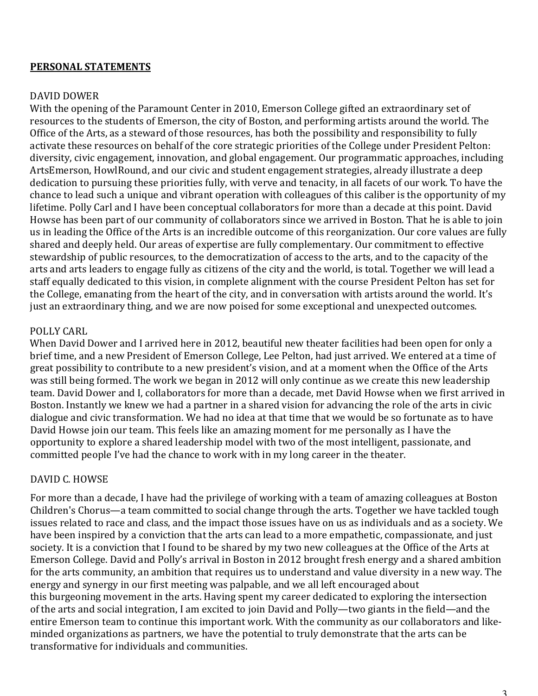#### **PERSONAL STATEMENTS**

#### DAVID DOWER

With the opening of the Paramount Center in 2010, Emerson College gifted an extraordinary set of resources to the students of Emerson, the city of Boston, and performing artists around the world. The Office of the Arts, as a steward of those resources, has both the possibility and responsibility to fully activate these resources on behalf of the core strategic priorities of the College under President Pelton: diversity, civic engagement, innovation, and global engagement. Our programmatic approaches, including ArtsEmerson, HowlRound, and our civic and student engagement strategies, already illustrate a deep dedication to pursuing these priorities fully, with verve and tenacity, in all facets of our work. To have the chance to lead such a unique and vibrant operation with colleagues of this caliber is the opportunity of my lifetime. Polly Carl and I have been conceptual collaborators for more than a decade at this point. David Howse has been part of our community of collaborators since we arrived in Boston. That he is able to join us in leading the Office of the Arts is an incredible outcome of this reorganization. Our core values are fully shared and deeply held. Our areas of expertise are fully complementary. Our commitment to effective stewardship of public resources, to the democratization of access to the arts, and to the capacity of the arts and arts leaders to engage fully as citizens of the city and the world, is total. Together we will lead a staff equally dedicated to this vision, in complete alignment with the course President Pelton has set for the College, emanating from the heart of the city, and in conversation with artists around the world. It's just an extraordinary thing, and we are now poised for some exceptional and unexpected outcomes.

#### POLLY CARL

When David Dower and I arrived here in 2012, beautiful new theater facilities had been open for only a brief time, and a new President of Emerson College, Lee Pelton, had just arrived. We entered at a time of great possibility to contribute to a new president's vision, and at a moment when the Office of the Arts was still being formed. The work we began in 2012 will only continue as we create this new leadership team. David Dower and I, collaborators for more than a decade, met David Howse when we first arrived in Boston. Instantly we knew we had a partner in a shared vision for advancing the role of the arts in civic dialogue and civic transformation. We had no idea at that time that we would be so fortunate as to have David Howse join our team. This feels like an amazing moment for me personally as I have the opportunity to explore a shared leadership model with two of the most intelligent, passionate, and committed people I've had the chance to work with in my long career in the theater.

#### DAVID C. HOWSE

For more than a decade, I have had the privilege of working with a team of amazing colleagues at Boston Children's Chorus—a team committed to social change through the arts. Together we have tackled tough issues related to race and class, and the impact those issues have on us as individuals and as a society. We have been inspired by a conviction that the arts can lead to a more empathetic, compassionate, and just society. It is a conviction that I found to be shared by my two new colleagues at the Office of the Arts at Emerson College. David and Polly's arrival in Boston in 2012 brought fresh energy and a shared ambition for the arts community, an ambition that requires us to understand and value diversity in a new way. The energy and synergy in our first meeting was palpable, and we all left encouraged about this burgeoning movement in the arts. Having spent my career dedicated to exploring the intersection of the arts and social integration, I am excited to join David and Polly—two giants in the field—and the entire Emerson team to continue this important work. With the community as our collaborators and likeminded organizations as partners, we have the potential to truly demonstrate that the arts can be transformative for individuals and communities.